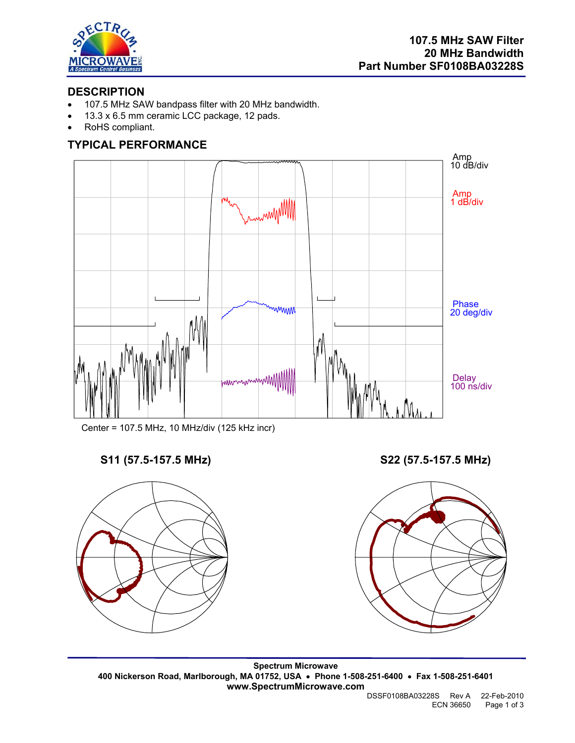

## **DESCRIPTION**

- 107.5 MHz SAW bandpass filter with 20 MHz bandwidth.
- 13.3 x 6.5 mm ceramic LCC package, 12 pads.
- RoHS compliant.

# **TYPICAL PERFORMANCE**



Center = 107.5 MHz, 10 MHz/div (125 kHz incr)



**S11 (57.5-157.5 MHz) S22 (57.5-157.5 MHz)** 



**Spectrum Microwave 400 Nickerson Road, Marlborough, MA 01752, USA** • **Phone 1-508-251-6400** • **Fax 1-508-251-6401 www.SpectrumMicrowave.com**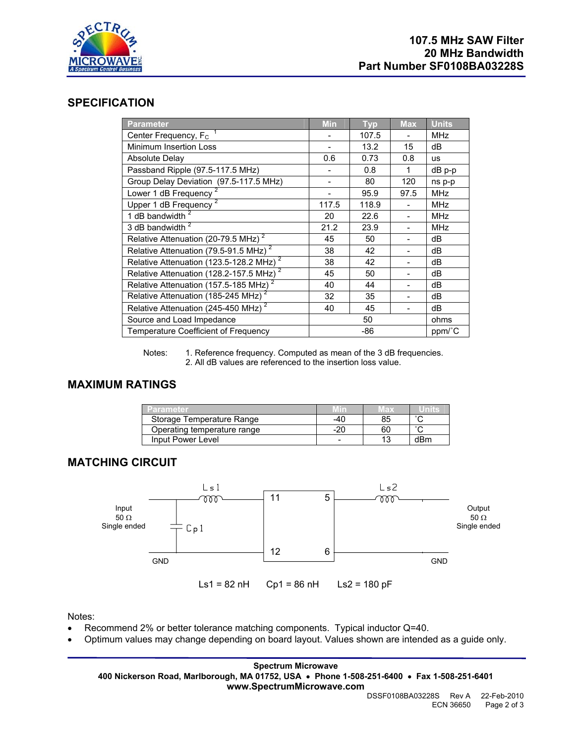

### **SPECIFICATION**

| <b>Parameter</b>                                    | <b>Min</b> | <b>Typ</b> | <b>Max</b> | <b>Units</b> |
|-----------------------------------------------------|------------|------------|------------|--------------|
| Center Frequency, F <sub>C</sub>                    |            | 107.5      |            | <b>MHz</b>   |
| Minimum Insertion Loss                              |            | 13.2       | 15         | dB           |
| Absolute Delay                                      | 0.6        | 0.73       | 0.8        | <b>us</b>    |
| Passband Ripple (97.5-117.5 MHz)                    |            | 0.8        | 1          | dB p-p       |
| Group Delay Deviation (97.5-117.5 MHz)              |            | 80         | 120        | ns p-p       |
| Lower 1 dB Frequency <sup>2</sup>                   |            | 95.9       | 97.5       | <b>MHz</b>   |
| Upper 1 dB Frequency                                | 117.5      | 118.9      |            | <b>MHz</b>   |
| 1 dB bandwidth $2$                                  | 20         | 22.6       |            | <b>MHz</b>   |
| 3 dB bandwidth <sup>2</sup>                         | 21.2       | 23.9       |            | <b>MHz</b>   |
| Relative Attenuation (20-79.5 MHz) <sup>2</sup>     | 45         | 50         |            | dB           |
| Relative Attenuation (79.5-91.5 MHz) <sup>2</sup>   | 38         | 42         |            | dB           |
| Relative Attenuation (123.5-128.2 MHz) <sup>2</sup> | 38         | 42         |            | dB           |
| Relative Attenuation (128.2-157.5 MHz) <sup>2</sup> | 45         | 50         |            | dB           |
| Relative Attenuation (157.5-185 MHz) <sup>2</sup>   | 40         | 44         |            | dB           |
| Relative Attenuation (185-245 MHz) <sup>2</sup>     | 32         | 35         |            | dB           |
| Relative Attenuation (245-450 MHz) <sup>2</sup>     | 40         | 45         |            | dB           |
| Source and Load Impedance                           | 50         |            |            | ohms         |
| <b>Temperature Coefficient of Frequency</b>         | -86        |            |            | ppm/°C       |

Notes: 1. Reference frequency. Computed as mean of the 3 dB frequencies. 2. All dB values are referenced to the insertion loss value.

## **MAXIMUM RATINGS**

| <b>Parameter</b>            |     | lla X |        |
|-----------------------------|-----|-------|--------|
| Storage Temperature Range   | -40 | 85    |        |
| Operating temperature range | -20 | 60    | $\sim$ |
| Input Power Level           |     |       | dRm    |

## **MATCHING CIRCUIT**



Notes:

- Recommend 2% or better tolerance matching components. Typical inductor Q=40.
- Optimum values may change depending on board layout. Values shown are intended as a guide only.

**Spectrum Microwave 400 Nickerson Road, Marlborough, MA 01752, USA** • **Phone 1-508-251-6400** • **Fax 1-508-251-6401 www.SpectrumMicrowave.com**